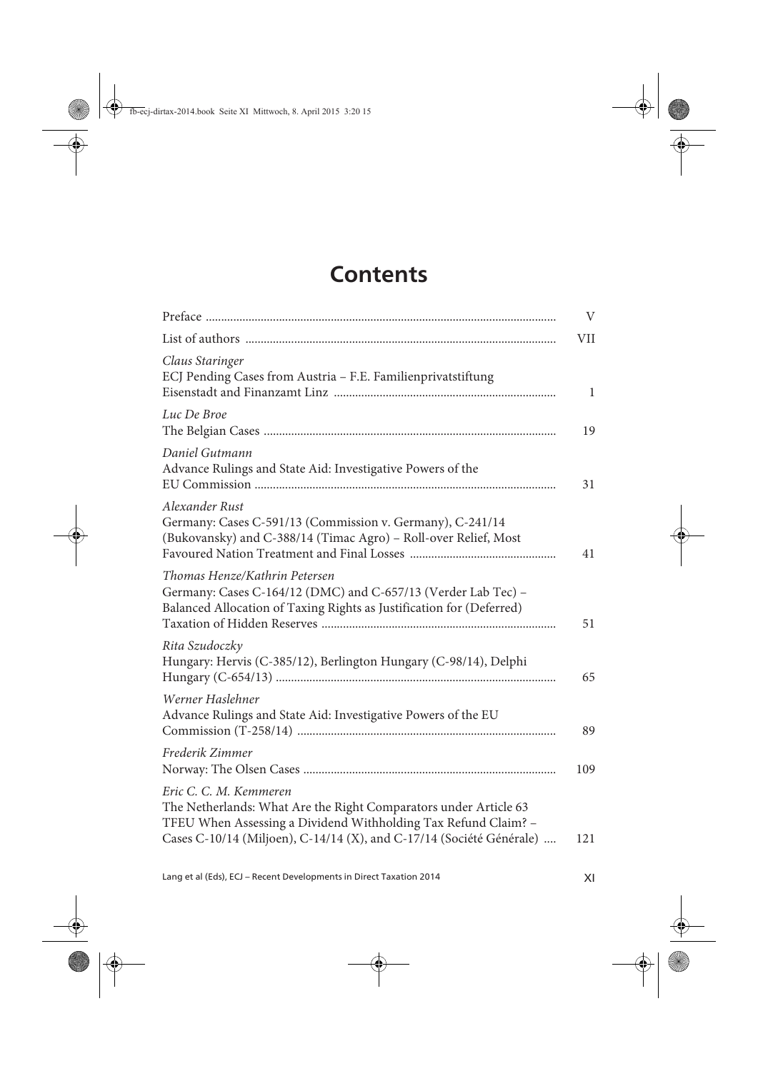## **Contents**

| $\mathbf{V}$ |
|--------------|
| VII          |
| 1            |
| 19           |
| 31           |
| 41           |
| 51           |
| 65           |
| 89           |
| 109          |
| 121          |
|              |